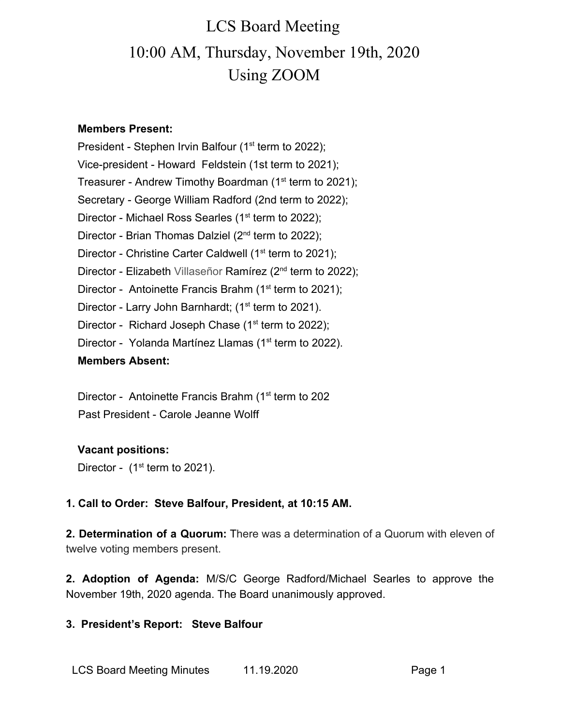### **Members Present:**

President - Stephen Irvin Balfour (1<sup>st</sup> term to 2022); Vice-president - Howard Feldstein (1st term to 2021); Treasurer - Andrew Timothy Boardman (1<sup>st</sup> term to 2021); Secretary - George William Radford (2nd term to 2022); Director - Michael Ross Searles (1<sup>st</sup> term to 2022); Director - Brian Thomas Dalziel (2<sup>nd</sup> term to 2022); Director - Christine Carter Caldwell ( $1<sup>st</sup>$  term to 2021); Director - Elizabeth Villaseñor Ramírez (2<sup>nd</sup> term to 2022); Director - Antoinette Francis Brahm ( $1<sup>st</sup>$  term to 2021); Director - Larry John Barnhardt; (1<sup>st</sup> term to 2021). Director - Richard Joseph Chase  $(1<sup>st</sup>$  term to 2022); Director - Yolanda Martínez Llamas (1<sup>st</sup> term to 2022). **Members Absent:**

Director - Antoinette Francis Brahm (1<sup>st</sup> term to 202 Past President - Carole Jeanne Wolff

## **Vacant positions:**

Director -  $(1<sup>st</sup>$  term to 2021).

## **1. Call to Order: Steve Balfour, President, at 10:15 AM.**

**2. Determination of a Quorum:** There was a determination of a Quorum with eleven of twelve voting members present.

**2. Adoption of Agenda:** M/S/C George Radford/Michael Searles to approve the November 19th, 2020 agenda. The Board unanimously approved.

## **3. President's Report: Steve Balfour**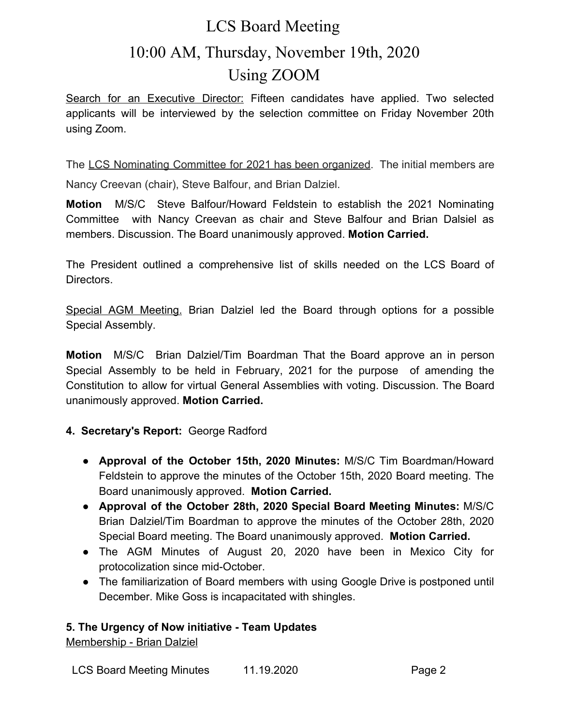Search for an Executive Director: Fifteen candidates have applied. Two selected applicants will be interviewed by the selection committee on Friday November 20th using Zoom.

The LCS Nominating Committee for 2021 has been organized. The initial members are Nancy Creevan (chair), Steve Balfour, and Brian Dalziel.

**Motion** M/S/C Steve Balfour/Howard Feldstein to establish the 2021 Nominating Committee with Nancy Creevan as chair and Steve Balfour and Brian Dalsiel as members. Discussion. The Board unanimously approved. **Motion Carried.**

The President outlined a comprehensive list of skills needed on the LCS Board of Directors.

Special AGM Meeting. Brian Dalziel led the Board through options for a possible Special Assembly.

**Motion** M/S/C Brian Dalziel/Tim Boardman That the Board approve an in person Special Assembly to be held in February, 2021 for the purpose of amending the Constitution to allow for virtual General Assemblies with voting. Discussion. The Board unanimously approved. **Motion Carried.**

## **4. Secretary's Report:** George Radford

- **Approval of the October 15th, 2020 Minutes:** M/S/C Tim Boardman/Howard Feldstein to approve the minutes of the October 15th, 2020 Board meeting. The Board unanimously approved. **Motion Carried.**
- **● Approval of the October 28th, 2020 Special Board Meeting Minutes:** M/S/C Brian Dalziel/Tim Boardman to approve the minutes of the October 28th, 2020 Special Board meeting. The Board unanimously approved. **Motion Carried.**
- The AGM Minutes of August 20, 2020 have been in Mexico City for protocolization since mid-October.
- The familiarization of Board members with using Google Drive is postponed until December. Mike Goss is incapacitated with shingles.

## **5. The Urgency of Now initiative - Team Updates**

Membership - Brian Dalziel

LCS Board Meeting Minutes 11.19.2020 Page 2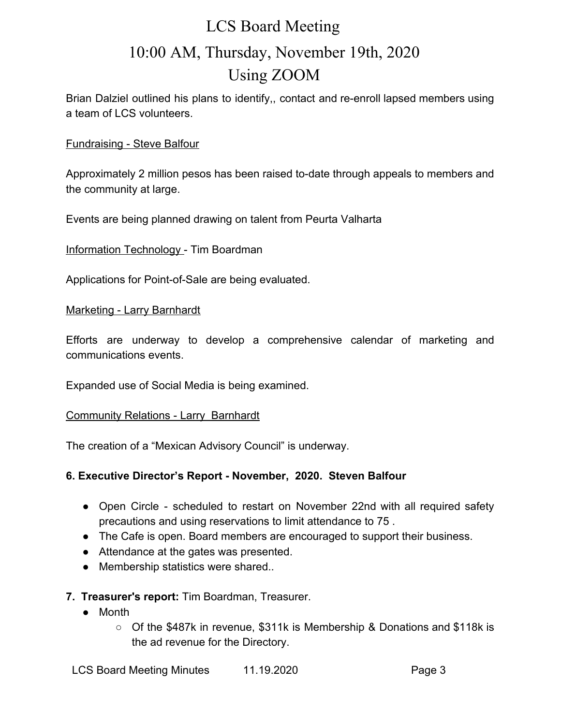Brian Dalziel outlined his plans to identify,, contact and re-enroll lapsed members using a team of LCS volunteers.

#### Fundraising - Steve Balfour

Approximately 2 million pesos has been raised to-date through appeals to members and the community at large.

Events are being planned drawing on talent from Peurta Valharta

Information Technology - Tim Boardman

Applications for Point-of-Sale are being evaluated.

#### Marketing - Larry Barnhardt

Efforts are underway to develop a comprehensive calendar of marketing and communications events.

Expanded use of Social Media is being examined.

#### Community Relations - Larry Barnhardt

The creation of a "Mexican Advisory Council" is underway.

## **6. Executive Director's Report - November, 2020. Steven Balfour**

- Open Circle scheduled to restart on November 22nd with all required safety precautions and using reservations to limit attendance to 75 .
- The Cafe is open. Board members are encouraged to support their business.
- Attendance at the gates was presented.
- Membership statistics were shared..
- **7. Treasurer's report:** Tim Boardman, Treasurer.
	- **●** Month
		- **○** Of the \$487k in revenue, \$311k is Membership & Donations and \$118k is the ad revenue for the Directory.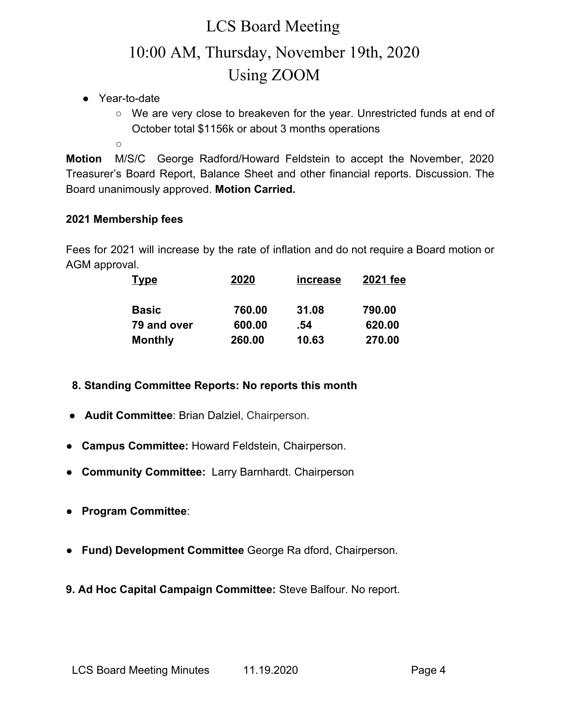- **●** Year-to-date
	- We are very close to breakeven for the year. Unrestricted funds at end of October total \$1156k or about 3 months operations
	- $\Omega$

**Motion** M/S/C George Radford/Howard Feldstein to accept the November, 2020 Treasurer's Board Report, Balance Sheet and other financial reports. Discussion. The Board unanimously approved. **Motion Carried.**

## **2021 Membership fees**

Fees for 2021 will increase by the rate of inflation and do not require a Board motion or AGM approval.

| <u>Type</u>    | 2020   | increase | 2021 fee |
|----------------|--------|----------|----------|
| <b>Basic</b>   | 760.00 | 31.08    | 790.00   |
| 79 and over    | 600.00 | .54      | 620.00   |
| <b>Monthly</b> | 260.00 | 10.63    | 270.00   |

- **8. Standing Committee Reports: No reports this month**
- **Audit Committee**: Brian Dalziel, Chairperson.
- ● **Campus Committee:** Howard Feldstein, Chairperson.
- **Community Committee:** Larry Barnhardt. Chairperson
- **Program Committee**:
- **Fund) Development Committee** George Ra dford, Chairperson.
- **9. Ad Hoc Capital Campaign Committee:** Steve Balfour. No report.